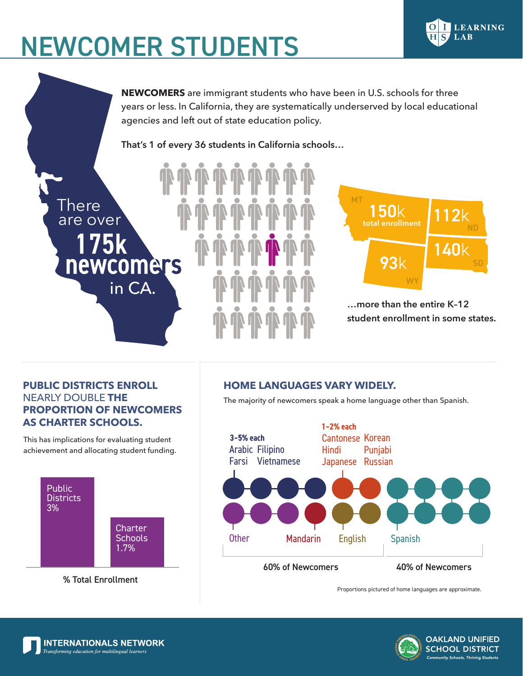# NEWCOMER STUDENTS

**NEWCOMERS** are immigrant students who have been in U.S. schools for three years or less. In California, they are systematically underserved by local educational agencies and left out of state education policy.

**That's 1 of every 36 students in California schools…**



newcomers

in CA.

**There** 

are over

This has implications for evaluating student achievement and allocating student funding.



# **HOME LANGUAGES VARY WIDELY.**

The majority of newcomers speak a home language other than Spanish.



Proportions pictured of home languages are approximate.

**…more than the entire K–12** 

WY

93k

150k

**total enrollment**

MT

**student enrollment in some states.**

140k

ND

**LEARNING** 

LAB

SD